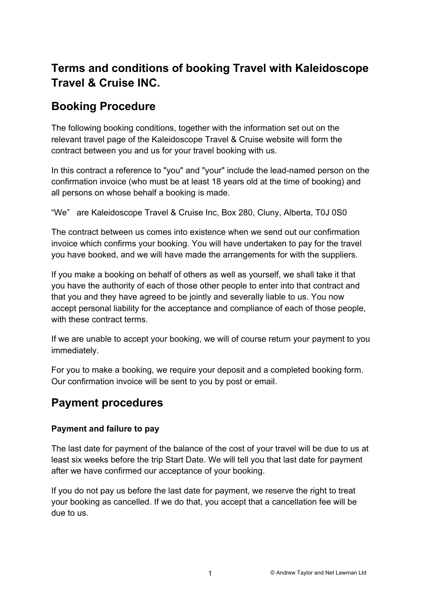# **Terms and conditions of booking Travel with Kaleidoscope Travel & Cruise INC.**

# **Booking Procedure**

The following booking conditions, together with the information set out on the relevant travel page of the Kaleidoscope Travel & Cruise website will form the contract between you and us for your travel booking with us.

In this contract a reference to "you" and "your" include the lead-named person on the confirmation invoice (who must be at least 18 years old at the time of booking) and all persons on whose behalf a booking is made.

"We" are Kaleidoscope Travel & Cruise Inc, Box 280, Cluny, Alberta, T0J 0S0

The contract between us comes into existence when we send out our confirmation invoice which confirms your booking. You will have undertaken to pay for the travel you have booked, and we will have made the arrangements for with the suppliers.

If you make a booking on behalf of others as well as yourself, we shall take it that you have the authority of each of those other people to enter into that contract and that you and they have agreed to be jointly and severally liable to us. You now accept personal liability for the acceptance and compliance of each of those people, with these contract terms.

If we are unable to accept your booking, we will of course return your payment to you immediately.

For you to make a booking, we require your deposit and a completed booking form. Our confirmation invoice will be sent to you by post or email.

# **Payment procedures**

# **Payment and failure to pay**

The last date for payment of the balance of the cost of your travel will be due to us at least six weeks before the trip Start Date. We will tell you that last date for payment after we have confirmed our acceptance of your booking.

If you do not pay us before the last date for payment, we reserve the right to treat your booking as cancelled. If we do that, you accept that a cancellation fee will be due to us.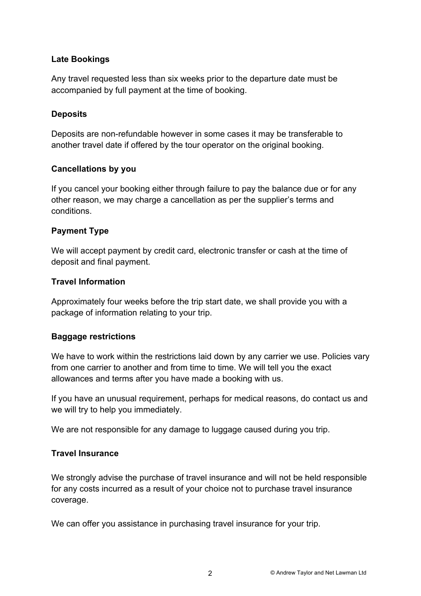### **Late Bookings**

Any travel requested less than six weeks prior to the departure date must be accompanied by full payment at the time of booking.

## **Deposits**

Deposits are non-refundable however in some cases it may be transferable to another travel date if offered by the tour operator on the original booking.

#### **Cancellations by you**

If you cancel your booking either through failure to pay the balance due or for any other reason, we may charge a cancellation as per the supplier's terms and conditions.

#### **Payment Type**

We will accept payment by credit card, electronic transfer or cash at the time of deposit and final payment.

#### **Travel Information**

Approximately four weeks before the trip start date, we shall provide you with a package of information relating to your trip.

## **Baggage restrictions**

We have to work within the restrictions laid down by any carrier we use. Policies vary from one carrier to another and from time to time. We will tell you the exact allowances and terms after you have made a booking with us.

If you have an unusual requirement, perhaps for medical reasons, do contact us and we will try to help you immediately.

We are not responsible for any damage to luggage caused during you trip.

#### **Travel Insurance**

We strongly advise the purchase of travel insurance and will not be held responsible for any costs incurred as a result of your choice not to purchase travel insurance coverage.

We can offer you assistance in purchasing travel insurance for your trip.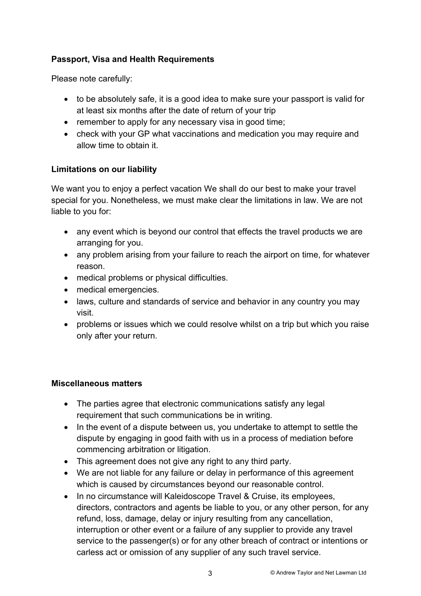# **Passport, Visa and Health Requirements**

Please note carefully:

- to be absolutely safe, it is a good idea to make sure your passport is valid for at least six months after the date of return of your trip
- remember to apply for any necessary visa in good time;
- check with your GP what vaccinations and medication you may require and allow time to obtain it.

## **Limitations on our liability**

We want you to enjoy a perfect vacation We shall do our best to make your travel special for you. Nonetheless, we must make clear the limitations in law. We are not liable to you for:

- any event which is beyond our control that effects the travel products we are arranging for you.
- any problem arising from your failure to reach the airport on time, for whatever reason.
- medical problems or physical difficulties.
- medical emergencies.
- laws, culture and standards of service and behavior in any country you may visit.
- problems or issues which we could resolve whilst on a trip but which you raise only after your return.

## **Miscellaneous matters**

- The parties agree that electronic communications satisfy any legal requirement that such communications be in writing.
- In the event of a dispute between us, you undertake to attempt to settle the dispute by engaging in good faith with us in a process of mediation before commencing arbitration or litigation.
- This agreement does not give any right to any third party.
- We are not liable for any failure or delay in performance of this agreement which is caused by circumstances beyond our reasonable control.
- In no circumstance will Kaleidoscope Travel & Cruise, its employees, directors, contractors and agents be liable to you, or any other person, for any refund, loss, damage, delay or injury resulting from any cancellation, interruption or other event or a failure of any supplier to provide any travel service to the passenger(s) or for any other breach of contract or intentions or carless act or omission of any supplier of any such travel service.